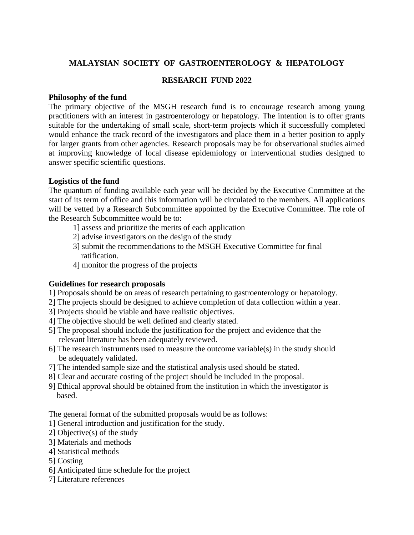# **MALAYSIAN SOCIETY OF GASTROENTEROLOGY & HEPATOLOGY**

## **RESEARCH FUND 2022**

### **Philosophy of the fund**

The primary objective of the MSGH research fund is to encourage research among young practitioners with an interest in gastroenterology or hepatology. The intention is to offer grants suitable for the undertaking of small scale, short-term projects which if successfully completed would enhance the track record of the investigators and place them in a better position to apply for larger grants from other agencies. Research proposals may be for observational studies aimed at improving knowledge of local disease epidemiology or interventional studies designed to answer specific scientific questions.

### **Logistics of the fund**

The quantum of funding available each year will be decided by the Executive Committee at the start of its term of office and this information will be circulated to the members. All applications will be vetted by a Research Subcommittee appointed by the Executive Committee. The role of the Research Subcommittee would be to:

- 1] assess and prioritize the merits of each application
- 2] advise investigators on the design of the study
- 3] submit the recommendations to the MSGH Executive Committee for final ratification.
- 4] monitor the progress of the projects

### **Guidelines for research proposals**

- 1] Proposals should be on areas of research pertaining to gastroenterology or hepatology.
- 2] The projects should be designed to achieve completion of data collection within a year.
- 3] Projects should be viable and have realistic objectives.
- 4] The objective should be well defined and clearly stated.
- 5] The proposal should include the justification for the project and evidence that the relevant literature has been adequately reviewed.
- 6] The research instruments used to measure the outcome variable(s) in the study should be adequately validated.
- 7] The intended sample size and the statistical analysis used should be stated.
- 8] Clear and accurate costing of the project should be included in the proposal.
- 9] Ethical approval should be obtained from the institution in which the investigator is based.

The general format of the submitted proposals would be as follows:

- 1] General introduction and justification for the study.
- 2] Objective(s) of the study
- 3] Materials and methods
- 4] Statistical methods
- 5] Costing
- 6] Anticipated time schedule for the project
- 7] Literature references